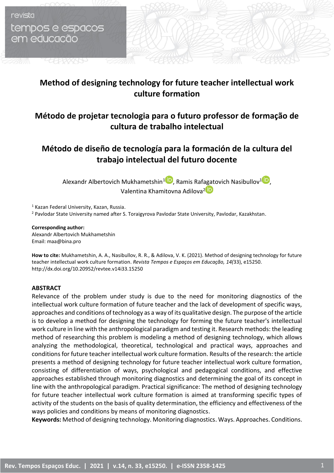revista tempos e espacos em educacão

aaaaan

# **Method of designing technology for future teacher intellectual work culture formation**

# **Método de projetar tecnologia para o futuro professor de formação de cultura de trabalho intelectual**

# **Método de diseño de tecnología para la formación de la cultura del trabajo intelectual del futuro docente**

Alexandr Albertovich Mukhametshin<sup>[1](https://orcid.org/0000-0002-9776-7659)</sup>, Ramis Raf[agat](https://orcid.org/0000-0002-8913-4739)ovich Nasibullov<sup>1</sup>[,](https://orcid.org/0000-0002-0382-3235) Valentina Khamitovna Adilova<sup>2</sup><sup>D</sup>

<sup>1</sup> Kazan Federal University, Kazan, Russia. <sup>2</sup> Pavlodar State University named after S. Toraigyrova Pavlodar State University, Pavlodar, Kazakhstan.

#### **Corresponding author:**

Alexandr Albertovich Mukhametshin Email: maa@bina.pro

**How to cite:** Mukhametshin, A. A., Nasibullov, R. R., & Adilova, V. K. (2021). Method of designing technology for future teacher intellectual work culture formation. *Revista Tempos e Espaços em Educação, 14(*33), e15250. http://dx.doi.org/10.20952/revtee.v14i33.15250

### **ABSTRACT**

Relevance of the problem under study is due to the need for monitoring diagnostics of the intellectual work culture formation of future teacher and the lack of development of specific ways, approaches and conditions of technology as a way of its qualitative design. The purpose of the article is to develop a method for designing the technology for forming the future teacher's intellectual work culture in line with the anthropological paradigm and testing it. Research methods: the leading method of researching this problem is modeling a method of designing technology, which allows analyzing the methodological, theoretical, technological and practical ways, approaches and conditions for future teacher intellectual work culture formation. Results of the research: the article presents a method of designing technology for future teacher intellectual work culture formation, consisting of differentiation of ways, psychological and pedagogical conditions, and effective approaches established through monitoring diagnostics and determining the goal of its concept in line with the anthropological paradigm. Practical significance: The method of designing technology for future teacher intellectual work culture formation is aimed at transforming specific types of activity of the students on the basis of quality determination, the efficiency and effectiveness of the ways policies and conditions by means of monitoring diagnostics.

**Keywords:** Method of designing technology. Monitoring diagnostics. Ways. Approaches. Conditions.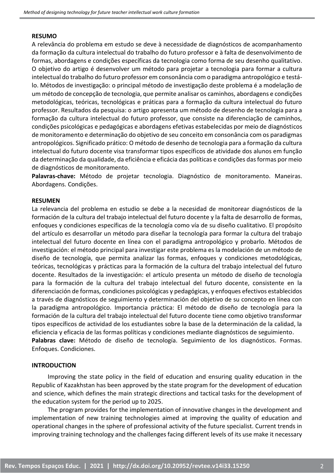### **RESUMO**

A relevância do problema em estudo se deve à necessidade de diagnósticos de acompanhamento da formação da cultura intelectual do trabalho do futuro professor e à falta de desenvolvimento de formas, abordagens e condições específicas da tecnologia como forma de seu desenho qualitativo. O objetivo do artigo é desenvolver um método para projetar a tecnologia para formar a cultura intelectual do trabalho do futuro professor em consonância com o paradigma antropológico e testálo. Métodos de investigação: o principal método de investigação deste problema é a modelação de um método de concepção de tecnologia, que permite analisar os caminhos, abordagens e condições metodológicas, teóricas, tecnológicas e práticas para a formação da cultura intelectual do futuro professor. Resultados da pesquisa: o artigo apresenta um método de desenho de tecnologia para a formação da cultura intelectual do futuro professor, que consiste na diferenciação de caminhos, condições psicológicas e pedagógicas e abordagens efetivas estabelecidas por meio de diagnósticos de monitoramento e determinação do objetivo de seu conceito em consonância com os paradigmas antropológicos. Significado prático: O método de desenho de tecnologia para a formação da cultura intelectual do futuro docente visa transformar tipos específicos de atividade dos alunos em função da determinação da qualidade, da eficiência e eficácia das políticas e condições das formas por meio de diagnósticos de monitoramento.

**Palavras-chave:** Método de projetar tecnologia. Diagnóstico de monitoramento. Maneiras. Abordagens. Condições.

# **RESUMEN**

La relevancia del problema en estudio se debe a la necesidad de monitorear diagnósticos de la formación de la cultura del trabajo intelectual del futuro docente y la falta de desarrollo de formas, enfoques y condiciones específicas de la tecnología como vía de su diseño cualitativo. El propósito del artículo es desarrollar un método para diseñar la tecnología para formar la cultura del trabajo intelectual del futuro docente en línea con el paradigma antropológico y probarlo. Métodos de investigación: el método principal para investigar este problema es la modelación de un método de diseño de tecnología, que permita analizar las formas, enfoques y condiciones metodológicas, teóricas, tecnológicas y prácticas para la formación de la cultura del trabajo intelectual del futuro docente. Resultados de la investigación: el artículo presenta un método de diseño de tecnología para la formación de la cultura del trabajo intelectual del futuro docente, consistente en la diferenciación de formas, condiciones psicológicas y pedagógicas, y enfoques efectivos establecidos a través de diagnósticos de seguimiento y determinación del objetivo de su concepto en línea con la paradigma antropológico. Importancia práctica: El método de diseño de tecnología para la formación de la cultura del trabajo intelectual del futuro docente tiene como objetivo transformar tipos específicos de actividad de los estudiantes sobre la base de la determinación de la calidad, la eficiencia y eficacia de las formas políticas y condiciones mediante diagnósticos de seguimiento. **Palabras clave:** Método de diseño de tecnología. Seguimiento de los diagnósticos. Formas. Enfoques. Condiciones.

### **INTRODUCTION**

Improving the state policy in the field of education and ensuring quality education in the Republic of Kazakhstan has been approved by the state program for the development of education and science, which defines the main strategic directions and tactical tasks for the development of the education system for the period up to 2025.

The program provides for the implementation of innovative changes in the development and implementation of new training technologies aimed at improving the quality of education and operational changes in the sphere of professional activity of the future specialist. Current trends in improving training technology and the challenges facing different levels of its use make it necessary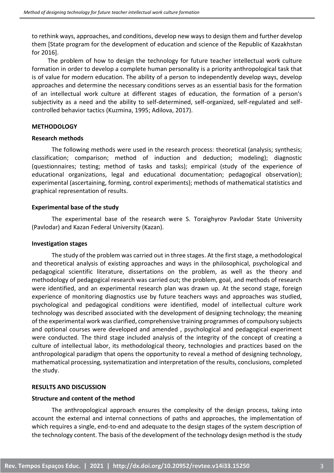to rethink ways, approaches, and conditions, develop new ways to design them and further develop them [State program for the development of education and science of the Republic of Kazakhstan for 2016].

The problem of how to design the technology for future teacher intellectual work culture formation in order to develop a complete human personality is a priority anthropological task that is of value for modern education. The ability of a person to independently develop ways, develop approaches and determine the necessary conditions serves as an essential basis for the formation of an intellectual work culture at different stages of education, the formation of a person's subjectivity as a need and the ability to self-determined, self-organized, self-regulated and selfcontrolled behavior tactics (Kuzmina, 1995; Adilova, 2017).

# **METHODOLOGY**

### **Research methods**

The following methods were used in the research process: theoretical (analysis; synthesis; classification; comparison; method of induction and deduction; modeling); diagnostic (questionnaires; testing; method of tasks and tasks); empirical (study of the experience of educational organizations, legal and educational documentation; pedagogical observation); experimental (ascertaining, forming, control experiments); methods of mathematical statistics and graphical representation of results.

### **Experimental base of the study**

The experimental base of the research were S. Toraighyrov Pavlodar State University (Pavlodar) and Kazan Federal University (Kazan).

# **Investigation stages**

The study of the problem was carried out in three stages. At the first stage, a methodological and theoretical analysis of existing approaches and ways in the philosophical, psychological and pedagogical scientific literature, dissertations on the problem, as well as the theory and methodology of pedagogical research was carried out; the problem, goal, and methods of research were identified, and an experimental research plan was drawn up. At the second stage, foreign experience of monitoring diagnostics use by future teachers ways and approaches was studied, psychological and pedagogical conditions were identified, model of intellectual culture work technology was described associated with the development of designing technology; the meaning of the experimental work was clarified, comprehensive training programmes of compulsory subjects and optional courses were developed and amended , psychological and pedagogical experiment were conducted. The third stage included analysis of the integrity of the concept of creating a culture of intellectual labor, its methodological theory, technologies and practices based on the anthropological paradigm that opens the opportunity to reveal a method of designing technology, mathematical processing, systematization and interpretation of the results, conclusions, completed the study.

# **RESULTS AND DISCUSSION**

# **Structure and content of the method**

The anthropological approach ensures the complexity of the design process, taking into account the external and internal connections of paths and approaches, the implementation of which requires a single, end-to-end and adequate to the design stages of the system description of the technology content. The basis of the development of the technology design method is the study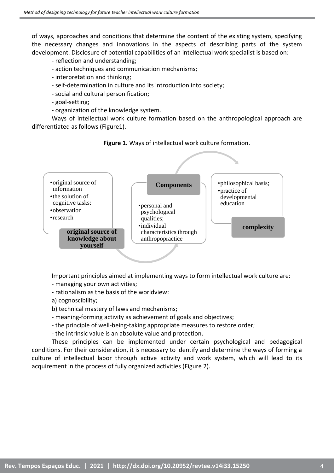of ways, approaches and conditions that determine the content of the existing system, specifying the necessary changes and innovations in the aspects of describing parts of the system development. Disclosure of potential capabilities of an intellectual work specialist is based on:

- reflection and understanding;
- action techniques and communication mechanisms;
- interpretation and thinking;
- self-determination in culture and its introduction into society;
- social and cultural personification;
- goal-setting;
- organization of the knowledge system.

Ways of intellectual work culture formation based on the anthropological approach are differentiated as follows (Figure1).

**Figure 1.** Ways of intellectual work culture formation.



Important principles aimed at implementing ways to form intellectual work culture are:

- managing your own activities;
- rationalism as the basis of the worldview:
- a) cognoscibility;
- b) technical mastery of laws and mechanisms;
- meaning-forming activity as achievement of goals and objectives;
- the principle of well-being-taking appropriate measures to restore order;
- the intrinsic value is an absolute value and protection.

These principles can be implemented under certain psychological and pedagogical conditions. For their consideration, it is necessary to identify and determine the ways of forming a culture of intellectual labor through active activity and work system, which will lead to its acquirement in the process of fully organized activities (Figure 2).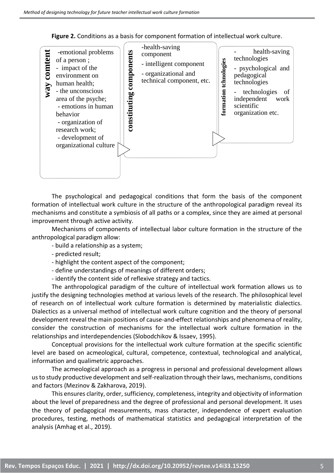**Figure 2.** Conditions as a basis for component formation of intellectual work culture.



The psychological and pedagogical conditions that form the basis of the component formation of intellectual work culture in the structure of the anthropological paradigm reveal its mechanisms and constitute a symbiosis of all paths or a complex, since they are aimed at personal improvement through active activity.

Mechanisms of components of intellectual labor culture formation in the structure of the anthropological paradigm allow:

- build a relationship as a system;

- predicted result;

- highlight the content aspect of the component;
- define understandings of meanings of different orders;

- identify the content side of reflexive strategy and tactics.

The anthropological paradigm of the culture of intellectual work formation allows us to justify the designing technologies method at various levels of the research. The philosophical level of research on of intellectual work culture formation is determined by materialistic dialectics. Dialectics as a universal method of intellectual work culture cognition and the theory of personal development reveal the main positions of cause-and-effect relationships and phenomena of reality, consider the construction of mechanisms for the intellectual work culture formation in the relationships and interdependencies (Slobodchikov & Issaev, 1995).

Conceptual provisions for the intellectual work culture formation at the specific scientific level are based on acmeological, cultural, competence, contextual, technological and analytical, information and qualimetric approaches.

The acmeological approach as a progress in personal and professional development allows us to study productive development and self-realization through their laws, mechanisms, conditions and factors (Mezinov & Zakharova, 2019).

This ensures clarity, order, sufficiency, completeness, integrity and objectivity of information about the level of preparedness and the degree of professional and personal development. It uses the theory of pedagogical measurements, mass character, independence of expert evaluation procedures, testing, methods of mathematical statistics and pedagogical interpretation of the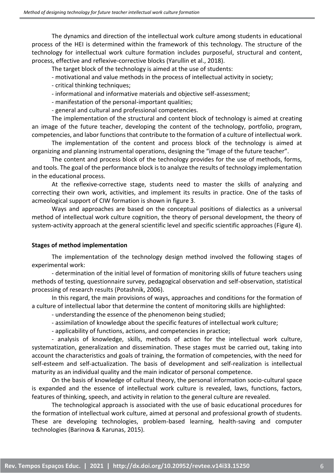The dynamics and direction of the intellectual work culture among students in educational process of the HEI is determined within the framework of this technology. The structure of the technology for intellectual work culture formation includes purposeful, structural and content, process, effective and reflexive-corrective blocks (Yarullin et al., 2018).

The target block of the technology is aimed at the use of students:

- motivational and value methods in the process of intellectual activity in society;
- critical thinking techniques;
- informational and informative materials and objective self-assessment;
- manifestation of the personal-important qualities;
- general and cultural and professional competencies.

The implementation of the structural and content block of technology is aimed at creating an image of the future teacher, developing the content of the technology, portfolio, program, competencies, and labor functions that contribute to the formation of a culture of intellectual work.

The implementation of the content and process block of the technology is aimed at organizing and planning instrumental operations, designing the "image of the future teacher".

The content and process block of the technology provides for the use of methods, forms, and tools. The goal of the performance block is to analyze the results of technology implementation in the educational process.

At the reflexive-corrective stage, students need to master the skills of analyzing and correcting their own work, activities, and implement its results in practice. One of the tasks of acmeological support of CIW formation is shown in figure 3.

Ways and approaches are based on the conceptual positions of dialectics as a universal method of intellectual work culture cognition, the theory of personal development, the theory of system-activity approach at the general scientific level and specific scientific approaches (Figure 4).

# **Stages of method implementation**

The implementation of the technology design method involved the following stages of experimental work:

- determination of the initial level of formation of monitoring skills of future teachers using methods of testing, questionnaire survey, pedagogical observation and self-observation, statistical processing of research results (Potashnik, 2006).

In this regard, the main provisions of ways, approaches and conditions for the formation of a culture of intellectual labor that determine the content of monitoring skills are highlighted:

- understanding the essence of the phenomenon being studied;

- assimilation of knowledge about the specific features of intellectual work culture;

- applicability of functions, actions, and competencies in practice;

- analysis of knowledge, skills, methods of action for the intellectual work culture, systematization, generalization and dissemination. These stages must be carried out, taking into account the characteristics and goals of training, the formation of competencies, with the need for self-esteem and self-actualization. The basis of development and self-realization is intellectual maturity as an individual quality and the main indicator of personal competence.

On the basis of knowledge of cultural theory, the personal information socio-cultural space is expanded and the essence of intellectual work culture is revealed, laws, functions, factors, features of thinking, speech, and activity in relation to the general culture are revealed.

The technological approach is associated with the use of basic educational procedures for the formation of intellectual work culture, aimed at personal and professional growth of students. These are developing technologies, problem-based learning, health-saving and computer technologies (Barinova & Karunas, 2015).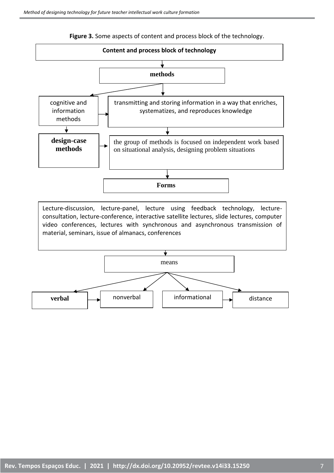

**Figure 3.** Some aspects of content and process block of the technology.

Lecture-discussion, lecture-panel, lecture using feedback technology, lectureconsultation, lecture-conference, interactive satellite lectures, slide lectures, computer video conferences, lectures with synchronous and asynchronous transmission of material, seminars, issue of almanacs, conferences

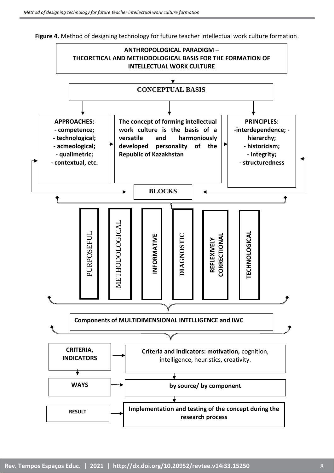

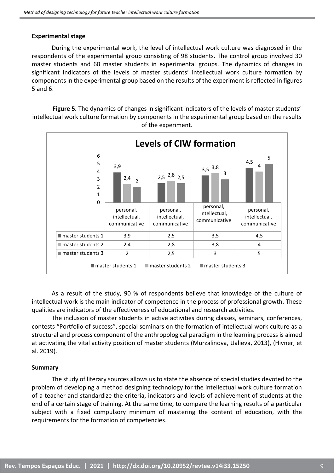## **Experimental stage**

During the experimental work, the level of intellectual work culture was diagnosed in the respondents of the experimental group consisting of 98 students. The control group involved 30 master students and 68 master students in experimental groups. The dynamics of changes in significant indicators of the levels of master students' intellectual work culture formation by components in the experimental group based on the results of the experiment is reflected in figures 5 and 6.

**Figure 5.** The dynamics of changes in significant indicators of the levels of master students' intellectual work culture formation by components in the experimental group based on the results of the experiment.



As a result of the study, 90 % of respondents believe that knowledge of the culture of intellectual work is the main indicator of competence in the process of professional growth. These qualities are indicators of the effectiveness of educational and research activities.

The inclusion of master students in active activities during classes, seminars, conferences, contests "Portfolio of success", special seminars on the formation of intellectual work culture as a structural and process component of the anthropological paradigm in the learning process is aimed at activating the vital activity position of master students (Murzalinova, Ualieva, 2013), (Hivner, et al. 2019).

# **Summary**

The study of literary sources allows us to state the absence of special studies devoted to the problem of developing a method designing technology for the intellectual work culture formation of a teacher and standardize the criteria, indicators and levels of achievement of students at the end of a certain stage of training. At the same time, to compare the learning results of a particular subject with a fixed compulsory minimum of mastering the content of education, with the requirements for the formation of competencies.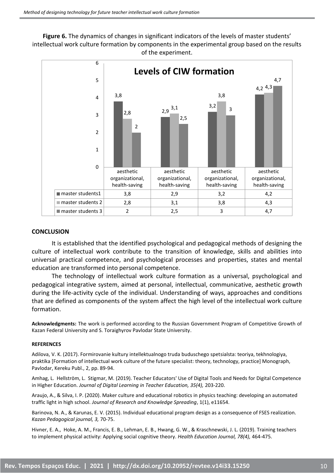**Figure 6.** The dynamics of changes in significant indicators of the levels of master students' intellectual work culture formation by components in the experimental group based on the results of the experiment.



#### **CONCLUSION**

It is established that the identified psychological and pedagogical methods of designing the culture of intellectual work contribute to the transition of knowledge, skills and abilities into universal practical competence, and psychological processes and properties, states and mental education are transformed into personal competence.

The technology of intellectual work culture formation as a universal, psychological and pedagogical integrative system, aimed at personal, intellectual, communicative, aesthetic growth during the life-activity cycle of the individual. Understanding of ways, approaches and conditions that are defined as components of the system affect the high level of the intellectual work culture formation.

**Acknowledgments:** The work is performed according to the Russian Government Program of Competitive Growth of Kazan Federal University and S. Toraighyrov Pavlodar State University.

#### **REFERENCES**

Adilova, V. K. (2017). Formirovanie kultury intellektualnogo truda buduschego spetsialsta: teoriya, tekhnologiya, praktika [Formation of intellectual work culture of the future specialist: theory, technology, practice] Monograph, Pavlodar, Kereku Publ., 2, pp. 89-94.

Amhag, L. Hellström, L. Stigmar, M. (2019). Teacher Educators' Use of Digital Tools and Needs for Digital Competence in Higher Education. *Journal of Digital Learning in Teacher Education, 35(4),* 203-220.

Araujo, A., & Silva, I. P. (2020). Maker culture and educational robotics in physics teaching: developing an automated traffic light in high school. *Journal of Research and Knowledge Spreading*, 1(1), e11654.

Barinova, N. A., & Karunas, E. V. (2015). Individual educational program design as a consequence of FSES realization. *Kazan Pedagogical journal, 3,* 70-75.

Hivner, E. A., Hoke, A. M., Francis, E. B., Lehman, E. B., Hwang, G. W., & Kraschnewski, J. L. (2019). Training teachers to implement physical activity: Applying social cognitive theory. *Health Education Journal, 78(4),* 464-475.